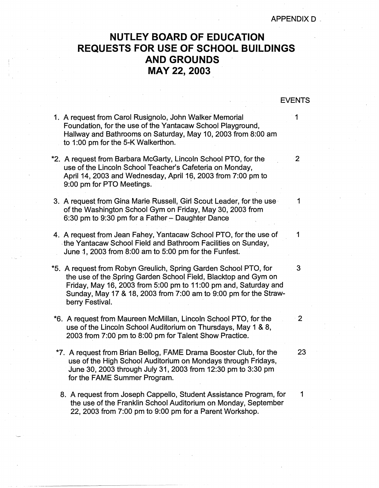APPENDIX D

## **NUTLEY BOARD OF EDUCATION REQUESTS FOR USE OF SCHOOL BUILDINGS AND GROUNDS MAY 22, 2003**

EVENTS

- 1. A request from Carol Rusignolo, John Walker Memorial **1** Foundation, for the use of the Yantacaw School Playground, Hallway and Bathrooms on Saturday, May 10, 2003 from 8:00 am to 1:00 pm for the 5-K Walkerthon. \*2. A request from Barbara McGarty, Lincoln School PTO, for the 2 use of the Lincoln School Teacher's Cafeteria on Monday, April 14, 2003 and Wednesday, April 16, 2003 from 7:00 pm to 9:00 pm for PTO Meetings. 3. A request from Gina Marie Russell, Girl Scout Leader, for the use 1 of the Washington School Gym on Friday, May 30, 2003 from 6:30 pm to 9:30 pm for a Father - Daughter Dance 4. A request from Jean Fahey, Yantacaw School PTO, for the use of 1 , the Yantacaw School Field and Bathroom Facilities on Sunday, June  $\overline{1}$ , 2003 from 8:00 am to 5:00 pm for the Funfest. \*5. A request from Robyn Greulich, Spring Garden School PTO, for 3 the use of the Spring Garden School Field, Blacktop and Gym on Friday, May 16, 2003 from 5:00 pm to 11 :00 pm and, Saturday and Sunday, May 17 & 18, 2003 from 7:00 am to 9:00 pm for the Strawberry Festival. \*6. A request from Maureen McMillan, Lincoln School PTO, for the · 2 use of the Lincoln School Auditorium on Thursdays, May 1 & 8, 2003 from 7:00 pm to 8:00 pm for Talent Show Practice. \*7. A request from Brian Bellog, FAME Drama Booster Club, for the 23 use of the High School Auditorium on Mondays through Fridays, June 30, 2003 through July 31, 2003 from 12:30 pm to 3:30 pm for the FAME Summer Program.
	- 8. A request from Joseph Cappello, Student Assistance Program, for 1 the use of the Franklin School Auditorium on Monday, September 22, 2003 from 7:00 pm to 9:00 pm for a Parent Workshop.